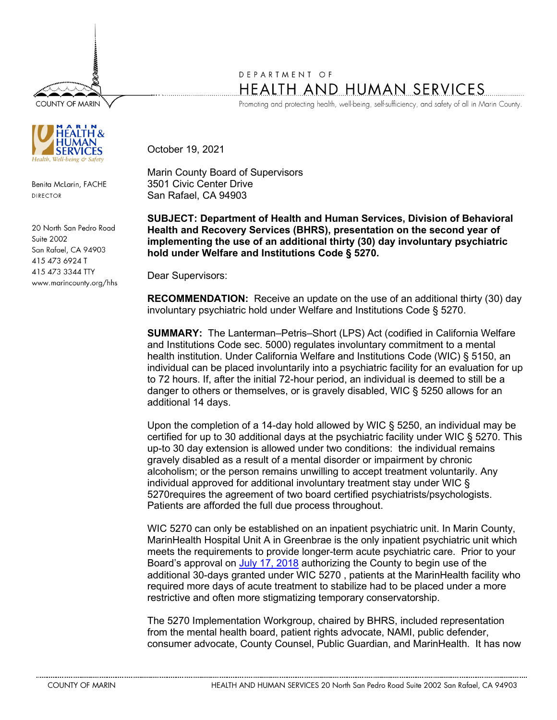**COUNTY OF MARIN** 



Benita McLarin, FACHE DIRECTOR

20 North San Pedro Road Suite 2002 San Rafael, CA 94903 415 473 6924 T 415 473 3344 TTY www.marincounty.org/hhs

## DEPARTMENT OF HEALTH AND HUMAN SERVICES

Promoting and protecting health, well-being, self-sufficiency, and safety of all in Marin County.

October 19, 2021

Marin County Board of Supervisors 3501 Civic Center Drive San Rafael, CA 94903

**SUBJECT: Department of Health and Human Services, Division of Behavioral Health and Recovery Services (BHRS), presentation on the second year of implementing the use of an additional thirty (30) day involuntary psychiatric hold under Welfare and Institutions Code § 5270.** 

Dear Supervisors:

**RECOMMENDATION:** Receive an update on the use of an additional thirty (30) day involuntary psychiatric hold under Welfare and Institutions Code § 5270.

**SUMMARY:** The Lanterman–Petris–Short (LPS) Act (codified in California Welfare and Institutions Code sec. 5000) regulates involuntary commitment to a mental health institution. Under California Welfare and Institutions Code (WIC) § 5150, an individual can be placed involuntarily into a psychiatric facility for an evaluation for up to 72 hours. If, after the initial 72-hour period, an individual is deemed to still be a danger to others or themselves, or is gravely disabled, WIC § 5250 allows for an additional 14 days.

Upon the completion of a 14-day hold allowed by WIC § 5250, an individual may be certified for up to 30 additional days at the psychiatric facility under WIC § 5270. This up-to 30 day extension is allowed under two conditions: the individual remains gravely disabled as a result of a mental disorder or impairment by chronic alcoholism; or the person remains unwilling to accept treatment voluntarily. Any individual approved for additional involuntary treatment stay under WIC § 5270requires the agreement of two board certified psychiatrists/psychologists. Patients are afforded the full due process throughout.

WIC 5270 can only be established on an inpatient psychiatric unit. In Marin County, MarinHealth Hospital Unit A in Greenbrae is the only inpatient psychiatric unit which meets the requirements to provide longer-term acute psychiatric care. Prior to your Board's approval on [July 17, 2018](http://marin.granicus.com/DocumentViewer.php?file=marin_2591030e207dac4b3153ad9094fadca8.pdf) authorizing the County to begin use of the additional 30-days granted under WIC 5270 , patients at the MarinHealth facility who required more days of acute treatment to stabilize had to be placed under a more restrictive and often more stigmatizing temporary conservatorship.

The 5270 Implementation Workgroup, chaired by BHRS, included representation from the mental health board, patient rights advocate, NAMI, public defender, consumer advocate, County Counsel, Public Guardian, and MarinHealth. It has now